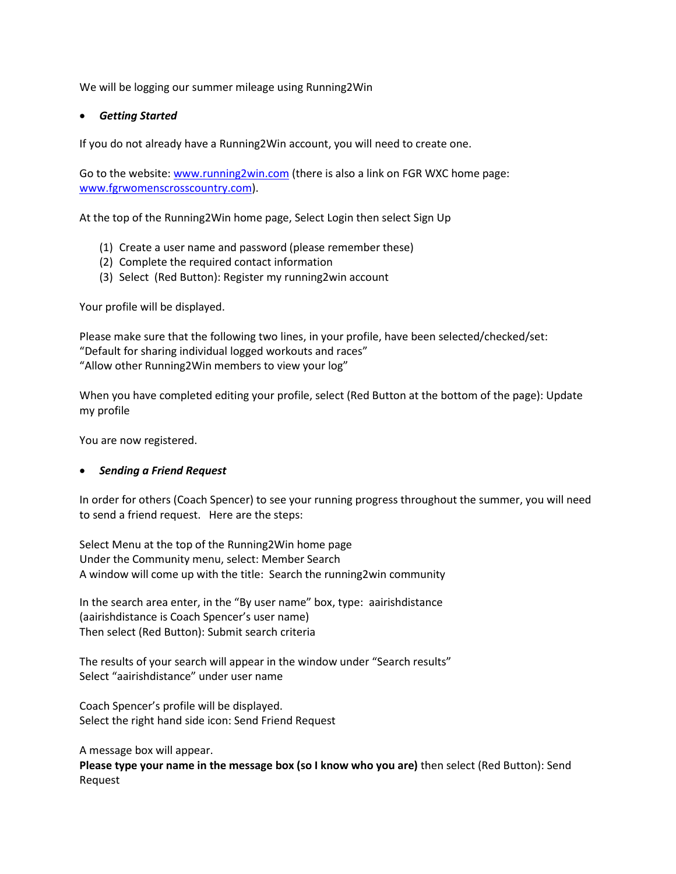We will be logging our summer mileage using Running2Win

## *Getting Started*

If you do not already have a Running2Win account, you will need to create one.

Go to the website: [www.running2win.com](http://www.running2win.com/) (there is also a link on FGR WXC home page: [www.fgrwomenscrosscountry.com\)](http://www.fgrwomenscrosscountry.com/).

At the top of the Running2Win home page, Select Login then select Sign Up

- (1) Create a user name and password (please remember these)
- (2) Complete the required contact information
- (3) Select (Red Button): Register my running2win account

Your profile will be displayed.

Please make sure that the following two lines, in your profile, have been selected/checked/set: "Default for sharing individual logged workouts and races" "Allow other Running2Win members to view your log"

When you have completed editing your profile, select (Red Button at the bottom of the page): Update my profile

You are now registered.

## *Sending a Friend Request*

In order for others (Coach Spencer) to see your running progress throughout the summer, you will need to send a friend request. Here are the steps:

Select Menu at the top of the Running2Win home page Under the Community menu, select: Member Search A window will come up with the title: Search the running2win community

In the search area enter, in the "By user name" box, type: aairishdistance (aairishdistance is Coach Spencer's user name) Then select (Red Button): Submit search criteria

The results of your search will appear in the window under "Search results" Select "aairishdistance" under user name

Coach Spencer's profile will be displayed. Select the right hand side icon: Send Friend Request

A message box will appear.

**Please type your name in the message box (so I know who you are)** then select (Red Button): Send Request